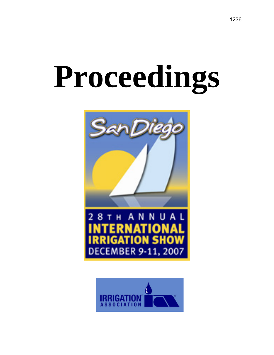# **Proceedings**



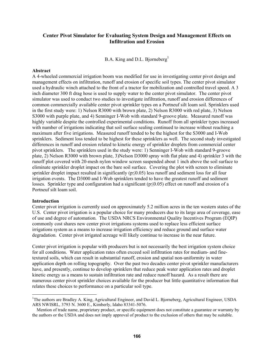# **Center Pivot Simulator for Evaluating System Design and Management Effects on Infiltration and Erosion**

B.A. King and D.L. Bjorneberg<sup>1</sup>

#### **Abstract**

A 4-wheeled commercial irrigation boom was modified for use in investigating center pivot design and management effects on infiltration, runoff and erosion of specific soil types. The center pivot simulator used a hydraulic winch attached to the front of a tractor for mobilization and controlled travel speed. A 3 inch diameter 300 ft drag hose is used to supply water to the center pivot simulator. The center pivot simulator was used to conduct two studies to investigate infiltration, runoff and erosion differences of common commercially available center pivot sprinkler types on a Portneuf silt loam soil. Sprinklers used in the first study were: 1) Nelson R3000 with brown plate, 2) Nelson R3000 with red plate, 3) Nelson S3000 with purple plate, and 4) Senninger I-Wob with standard 9-groove plate. Measured runoff was highly variable despite the controlled experimental conditions. Runoff from all sprinkler types increased with number of irrigations indicating that soil surface sealing continued to increase without reaching a maximum after five irrigations. Measured runoff tended to be the highest for the S3000 and I-Wob sprinklers. Sediment loss tended to be highest for these sprinklers as well. The second study investigated differences in runoff and erosion related to kinetic energy of sprinkler droplets from commercial center pivot sprinklers. The sprinklers used in the study were: 1) Senninger I-Wob with standard 9-groove plate, 2) Nelson R3000 with brown plate, 3)Nelson D3000 spray with flat plate and 4) sprinkler 3 with the runoff plot covered with 20-mesh nylon window screen suspended about 1 inch above the soil surface to eliminate sprinkler droplet impact on the bare soil surface. Covering the plot with screen to eliminate sprinkler droplet impact resulted in significantly ( $p \le 0.05$ ) less runoff and sediment loss for all four irrigation events. The D3000 and I-Wob sprinklers tended to have the greatest runoff and sediment losses. Sprinkler type and configuration had a significant ( $p \le 0.05$ ) effect on runoff and erosion of a Portneuf silt loam soil.

#### **Introduction**

 $\overline{a}$ 

Center pivot irrigation is currently used on approximately 5.2 million acres in the ten western states of the U.S. Center pivot irrigation is a popular choice for many producers due to its large area of coverage, ease of use and degree of automation. The USDA NRCS Environmental Quality Incentives Program (EQIP) commonly cost shares new center pivot irrigations systems used to replace less efficient surface irrigations system as a means to increase irrigation efficiency and reduce ground and surface water degradation. Center pivot irrigated acreage will likely continue to increase in the near future.

Center pivot irrigation is popular with producers but is not necessarily the best irrigation system choice for all conditions. Water application rates often exceed soil infiltration rates for medium- and finetextured soils, which can result in substantial runoff, erosion and spatial non-uniformity in water application depth on rolling topography. Over the past two decades center pivot sprinkler manufacturers have, and presently, continue to develop sprinklers that reduce peak water application rates and droplet kinetic energy as a means to sustain infiltration rate and reduce runoff hazard. As a result there are numerous center pivot sprinkler choices available for the producer but little quantitative information that relates these choices to performance on a particular soil type.

<sup>&</sup>lt;sup>1</sup>The authors are Bradley A. King, Agricultural Engineer, and David L. Bjorneberg, Agricultural Engineer, USDA ARS NWISRL, 3793 N. 3600 E., Kimberly, Idaho 83341-5076.

Mention of trade name, proprietary product, or specific equipment does not constitute a guarantee or warranty by the authors or the USDA and does not imply approval of product to the exclusion of others that may be suitable.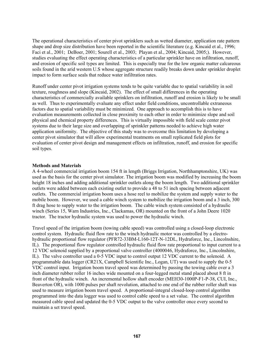The operational characteristics of center pivot sprinklers such as wetted diameter, application rate pattern shape and drop size distribution have been reported in the scientific literature (e.g. Kincaid et al., 1996; Faci et al., 2001; DeBoer, 2001; Sourell et al., 2003; Playan et al., 2004; Kincaid, 2005;). However, studies evaluating the effect operating characteristics of a particular sprinkler have on infiltration, runoff, and erosion of specific soil types are limited. This is especially true for the low organic matter calcareous soils found in the arid western U.S whose aggregate structure readily breaks down under sprinkler droplet impact to form surface seals that reduce water infiltration rates.

Runoff under center pivot irrigation systems tends to be quite variable due to spatial variability in soil texture, roughness and slope (Kincaid, 2002). The effect of small differences in the operating characteristics of commercially available sprinklers on infiltration, runoff and erosion is likely to be small as well. Thus to experimentally evaluate any effect under field conditions, uncontrollable extraneous factors due to spatial variability must be minimized. One approach to accomplish this is to have evaluation measurements collected in close proximity to each other in order to minimize slope and soil physical and chemical property differences. This is virtually impossible with field scale center pivot systems due to their large size and overlapping of sprinkler patterns needed to achieve high water application uniformity. The objective of this study was to overcome this limitation by developing a center pivot simulator that will allow experimental treatments on small replicated field plots for evaluation of center pivot design and management effects on infiltration, runoff, and erosion for specific soil types.

### **Methods and Materials**

A 4-wheel commercial irrigation boom 154 ft in length (Briggs Irrigation, Northhamptonshire, UK) was used as the basis for the center pivot simulator. The irrigation boom was modified by increasing the boom height 18 inches and adding additional sprinkler outlets along the boom length. Two additional sprinkler outlets were added between each existing outlet to provide a 48 to 51 inch spacing between adjacent outlets. The commercial irrigation boom uses a hose reel to mobilize the system and supply water to the mobile boom. However, we used a cable winch system to mobilize the irrigation boom and a 3 inch, 300 ft drag hose to supply water to the irrigation boom. The cable winch system consisted of a hydraulic winch (Series 15, Warn Industries, Inc., Clackamas, OR) mounted on the front of a John Deere 1020 tractor. The tractor hydraulic system was used to power the hydraulic winch.

Travel speed of the irrigation boom (towing cable speed) was controlled using a closed-loop electronic control system. Hydraulic fluid flow rate to the winch hydraulic motor was controlled by a electrohydraulic proportional flow regulator (PFR72-33BM-L160-12T-N-12DL, Hydraforce, Inc., Lincolnshire, IL). The proportional flow regulator controlled hydraulic fluid flow rate proportional to input current to a 12 VDC solenoid supplied by a proportional valve controller (4000046, Hydraforce, Inc., Lincolnshire, IL). The valve controller used a 0-5 VDC input to control output 12 VDC current to the solenoid. A programmable data logger (CR21X, Campbell Scientific Inc., Logan, UT) was used to supply the 0-5 VDC control input. Irrigation boom travel speed was determined by passing the towing cable over a 3 inch diameter rubber roller 16 inches wide mounted on a four-legged metal stand placed about 8 ft in front of the hydraulic winch. An incremental hollow shaft encoder (MEH30-1000P-F1-P-38, CUI, Inc., Beaverton OR), with 1000 pulses per shaft revolution, attached to one end of the rubber roller shaft was used to measure irrigation boom travel speed. A proportional-integral closed-loop control algorithm programmed into the data logger was used to control cable speed to a set value. The control algorithm measured cable speed and updated the 0-5 VDC output to the valve controller once every second to maintain a set travel speed.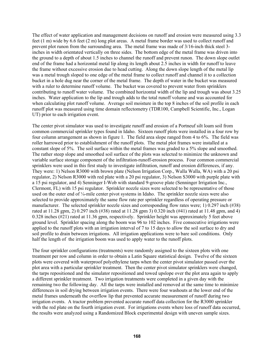The effect of water application and management decisions on runoff and erosion were measured using 3.3 feet (1 m) wide by 6.6 feet (2 m) long plot areas. A metal frame border was used to collect runoff and prevent plot runon from the surrounding area. The metal frame was made of 3/16-inch thick steel 3 inches in width orientated vertically on three sides. The bottom edge of the metal frame was driven into the ground to a depth of about 1.5 inches to channel the runoff and prevent runon. The down slope outlet end of the frame had a horizontal metal lip along its length about 2.5 inches in width for runoff to leave the frame without excessive erosion due to head cutting. Along the down slope length of the metal lip was a metal trough sloped to one edge of the metal frame to collect runoff and channel it to a collection bucket in a hole dug near the corner of the metal frame. The depth of water in the bucket was measured with a ruler to determine runoff volume. The bucket was covered to prevent water from sprinklers contributing to runoff water volume. The combined horizontal width of the lip and trough was about 3.25 inches. Water application to the lip and trough adds to the total runoff volume and was accounted for when calculating plot runoff volume. Average soil moisture in the top 8 inches of the soil profile in each runoff plot was measured using time domain reflectometry (TDR100, Campbell Scientific, Inc., Logan UT) prior to each irrigation event.

The center pivot simulator was used to investigate runoff and erosion of a Portneuf silt loam soil from common commercial sprinkler types found in Idaho. Sixteen runoff plots were installed in a four row by four column arrangement as shown in figure 1. The field area slope ranged from 4 to 6%. The field was roller harrowed prior to establishment of the runoff plots. The metal plot frames were installed at a constant slope of 5%. The soil surface within the metal frames was graded to a 5% slope and smoothed. The rather steep slope and smoothed soil surface of the plots was selected to minimize the unknown and variable surface storage component of the infiltration-runoff-erosion process. Four common commercial sprinklers were used in this first study to investigate infiltration, runoff and erosion differences, if any. They were: 1) Nelson R3000 with brown plate (Nelson Irrigation Corp., Walla Walla, WA) with a 20 psi regulator, 2) Nelson R3000 with red plate with a 20 psi regulator, 3) Nelson S3000 with purple plate with a 15 psi regulator, and 4) Senninger I-Wob with standard 9-groove plate (Senninger Irrigation Inc., Clermont, FL) with 15 psi regulator. Sprinkler nozzle sizes were selected to be representative of those used on the outer end of  $\frac{1}{4}$ -mile center pivot systems in Idaho. The sprinkler nozzle sizes were also selected to provide approximately the same flow rate per sprinkler regardless of operating pressure or manufacturer. The selected sprinkler nozzle sizes and corresponding flow rates were; 1) 0.297 inch (#38) rated at 11.28 gpm, 2) 0.297 inch (#38) rated at 11.28 gpm 3) 0.320 inch (#41) rated at 11.48 gpm, and 4) 0.328 inches (#21) rated at 11.36 gpm, respectively. Sprinkler height was approximately 5 feet above ground level. Sprinkler spacing along the boom was 96 to 102 inches. Five consecutive irrigations were applied to the runoff plots with an irrigation interval of 7 to 15 days to allow the soil surface to dry and soil profile to drain between irrigations. All irrigation applications were to bare soil conditions. Only half the length of the irrigation boom was used to apply water to the runoff plots.

The four sprinkler configurations (treatments) were randomly assigned to the sixteen plots with one treatment per row and column in order to obtain a Latin Square statistical design. Twelve of the sixteen plots were covered with waterproof polyethylene tarps when the center pivot simulator passed over the plot area with a particular sprinkler treatment. Then the center pivot simulator sprinklers were changed, the tarps repositioned and the simulator repositioned and towed upslope over the plot area again to apply a different sprinkler treatment. Two irrigation treatments were completed in a given day with the remaining two the following day. All the tarps were installed and removed at the same time to minimize differences in soil drying between irrigation events. There were four washouts at the lower end of the metal frames underneath the overflow lip that prevented accurate measurement of runoff during two irrigation events. A tractor problem prevented accurate runoff data collection for the R3000 sprinkler with the red plate on the fourth irrigation event. For irrigations events where loss of runoff data occurred, the results were analyzed using a Randomized Block experimental design with uneven sample sizes.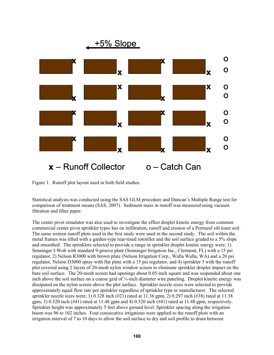

Figure 1. Runoff plot layout used in both field studies.

Statistical analysis was conducted using the SAS GLM procedure and Duncan's Multiple Range test for comparison of treatment means (SAS, 2007). Sediment mass in runoff was measured using vacuum filtration and filter paper.

The center pivot simulator was also used to investigate the effect droplet kinetic energy from common commercial center pivot sprinkler types has on infiltration, runoff and erosion of a Porrneuf silt loam soil. The same sixteen runoff plots used in the first study were used in the second study. The soil within the metal frames was tilled with a garden-type rear-tined rototiller and the soil surface graded to a 5% slope and smoothed. The sprinklers selected to provide a range in sprinkler droplet kinetic energy were; 1) Senninger I-Wob with standard 9-groove plate (Senninger Irrigation Inc., Clermont, FL) with a 15 psi regulator, 2) Nelson R3000 with brown plate (Nelson Irrigation Corp., Walla Walla, WA) and a 20 psi regulator, Nelson D3000 spray with flat plate with a 15 psi regulator, and 4) sprinkler 3 with the runoff plot covered using 2 layers of 20-mesh nylon window screen to eliminate sprinkler droplet impact on the bare soil surface. The 20-mesh screen had openings about 0.05-inch square and was suspended about one inch above the soil surface on a coarse grid of ¼-inch diameter wire paneling. Droplet kinetic energy was dissipated on the nylon screen above the plot surface. Sprinkler nozzle sizes were selected to provide approximately equal flow rate per sprinkler regardless of sprinkler type or manufacturer. The selected sprinkler nozzle sizes were; 1) 0.328 inch (#21) rated at 11.36 gpm, 2) 0.297 inch (#38) rated at 11.38 gpm, 3) 0.320 inch (#41) rated at 11.48 gpm and 4) 0.320 inch (#41) rated at 11.48 gpm, respectively. Sprinkler height was approximately 5 feet above ground level. Sprinkler spacing along the irrigation boom was 96 to 102 inches. Four consecutive irrigations were applied to the runoff plots with an irrigation interval of 7 to 10 days to allow the soil surface to dry and soil profile to drain between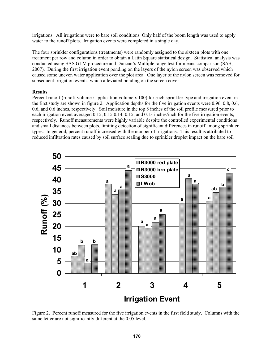irrigations. All irrigations were to bare soil conditions. Only half of the boom length was used to apply water to the runoff plots. Irrigation events were completed in a single day.

The four sprinkler configurations (treatments) were randomly assigned to the sixteen plots with one treatment per row and column in order to obtain a Latin Square statistical design. Statistical analysis was conducted using SAS GLM procedure and Duncan's Multiple range test for means comparison (SAS, 2007). During the first irrigation event ponding on the layers of the nylon screen was observed which caused some uneven water application over the plot area. One layer of the nylon screen was removed for subsequent irrigation events, which alleviated ponding on the screen cover.

## **Results**

Percent runoff (runoff volume / application volume x 100) for each sprinkler type and irrigation event in the first study are shown in figure 2. Application depths for the five irrigation events were 0.96, 0.8, 0.6, 0.6, and 0.6 inches, respectively. Soil moisture in the top 8 inches of the soil profile measured prior to each irrigation event averaged 0.15, 0.15 0.14, 0.15, and 0.13 inches/inch for the five irrigation events, respectively. Runoff measurements were highly variable despite the controlled experimental conditions and small distances between plots, limiting detection of significant differences in runoff among sprinkler types. In general, percent runoff increased with the number of irrigations. This result is attributed to reduced infiltration rates caused by soil surface sealing due to sprinkler droplet impact on the bare soil



Figure 2. Percent runoff measured for the five irrigation events in the first field study. Columns with the same letter are not significantly different at the 0.05 level.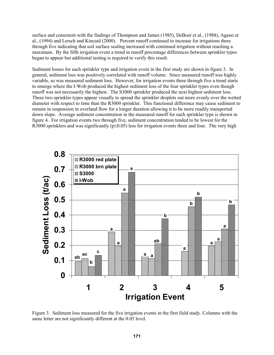surface and consistent with the findings of Thompson and James (1985), DeBoer et al., (1988), Agassi et al., (1994) and Lersch and Kincaid (2000). Percent runoff continued to increase for irrigations three through five indicating that soil surface sealing increased with continued irrigation without reaching a maximum. By the fifth irrigation event a trend in runoff percentage differences between sprinkler types began to appear but additional testing is required to verify this result.

Sediment losses for each sprinkler type and irrigation event in the first study are shown in figure 3. In general, sediment loss was positively correlated with runoff volume. Since measured runoff was highly variable, so was measured sediment loss. However, for irrigation events three through five a trend starts to emerge where the I-Wob produced the highest sediment loss of the four sprinkler types even though runoff was not necessarily the highest. The S3000 sprinkler produced the next highest sediment loss. These two sprinkler types appear visually to spread the sprinkler droplets out more evenly over the wetted diameter with respect to time than the R3000 sprinkler. This functional difference may cause sediment to remain in suspension in overland flow for a longer duration allowing it to be more readily transported down slope. Average sediment concentration in the measured runoff for each sprinkler type is shown in figure 4. For irrigation events two through five, sediment concentration tended to be lowest for the R3000 sprinklers and was significantly ( $p \le 0.05$ ) less for irrigation events three and four. The very high



Figure 3. Sediment loss measured for the five irrigation events in the first field study. Columns with the same letter are not significantly different at the 0.05 level.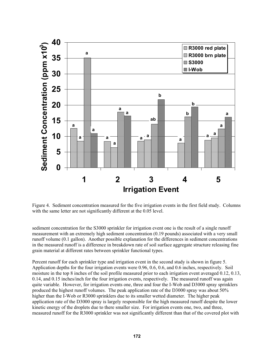

Figure 4. Sediment concentration measured for the five irrigation events in the first field study. Columns with the same letter are not significantly different at the 0.05 level.

sediment concentration for the S3000 sprinkler for irrigation event one is the result of a single runoff measurement with an extremely high sediment concentration (0.19 pounds) associated with a very small runoff volume (0.1 gallon). Another possible explanation for the differences in sediment concentrations in the measured runoff is a difference in breakdown rate of soil surface aggregate structure releasing fine grain material at different rates between sprinkler functional types.

Percent runoff for each sprinkler type and irrigation event in the second study is shown in figure 5. Application depths for the four irrigation events were 0.96, 0.6, 0.6, and 0.6 inches, respectively. Soil moisture in the top 8 inches of the soil profile measured prior to each irrigation event averaged 0.12, 0.13, 0.14, and 0.15 inches/inch for the four irrigation events, respectively. The measured runoff was again quite variable. However, for irrigation events one, three and four the I-Wob and D3000 spray sprinklers produced the highest runoff volumes. The peak application rate of the D3000 spray was about 50% higher than the I-Wob or R3000 sprinklers due to its smaller wetted diameter. The higher peak application rate of the D3000 spray is largely responsible for the high measured runoff despite the lower kinetic energy of the droplets due to there smaller size. For irrigation events one, two, and three, measured runoff for the R3000 sprinkler was not significantly different than that of the covered plot with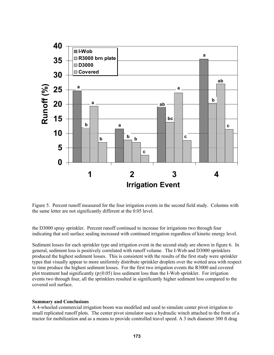

Figure 5. Percent runoff measured for the four irrigation events in the second field study. Columns with the same letter are not significantly different at the 0.05 level.

the D3000 spray sprinkler. Percent runoff continued to increase for irrigations two through four indicating that soil surface sealing increased with continued irrigation regardless of kinetic energy level.

Sediment losses for each sprinkler type and irrigation event in the second study are shown in figure 6. In general, sediment loss is positively correlated with runoff volume. The I-Wob and D3000 sprinklers produced the highest sediment losses. This is consistent with the results of the first study were sprinkler types that visually appear to more uniformly distribute sprinkler droplets over the wetted area with respect to time produce the highest sediment losses. For the first two irrigation events the R3000 and covered plot treatment had significantly ( $p \le 0.05$ ) less sediment loss than the I-Wob sprinkler. For irrigation events two through four, all the sprinklers resulted in significantly higher sediment loss compared to the covered soil surface.

### **Summary and Conclusions**

A 4-wheeled commercial irrigation boom was modified and used to simulate center pivot irrigation to small replicated runoff plots. The center pivot simulator uses a hydraulic winch attached to the front of a tractor for mobilization and as a means to provide controlled travel speed. A 3 inch diameter 300 ft drag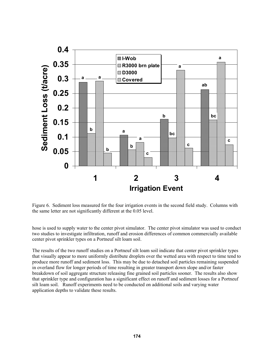

Figure 6. Sediment loss measured for the four irrigation events in the second field study. Columns with the same letter are not significantly different at the 0.05 level.

hose is used to supply water to the center pivot simulator. The center pivot simulator was used to conduct two studies to investigate infiltration, runoff and erosion differences of common commercially available center pivot sprinkler types on a Portneuf silt loam soil.

The results of the two runoff studies on a Portneuf silt loam soil indicate that center pivot sprinkler types that visually appear to more uniformly distribute droplets over the wetted area with respect to time tend to produce more runoff and sediment loss. This may be due to detached soil particles remaining suspended in overland flow for longer periods of time resulting in greater transport down slope and/or faster breakdown of soil aggregate structure releasing fine grained soil particles sooner. The results also show that sprinkler type and configuration has a significant effect on runoff and sediment losses for a Portneuf silt loam soil. Runoff experiments need to be conducted on additional soils and varying water application depths to validate these results.